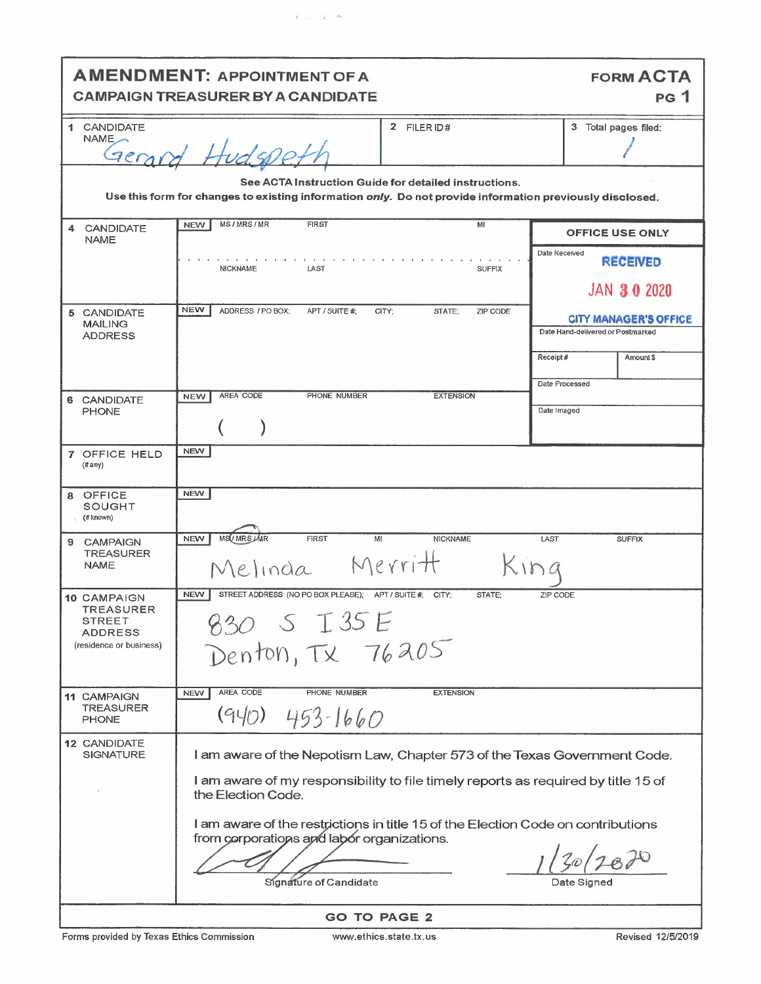|                                                                                                                                                                   | <b>AMENDMENT: APPOINTMENT OF A</b><br><b>CAMPAIGN TREASURER BY A CANDIDATE</b>                                                                                                       | <b>FORM ACTA</b><br><b>PG</b> 1                                   |  |
|-------------------------------------------------------------------------------------------------------------------------------------------------------------------|--------------------------------------------------------------------------------------------------------------------------------------------------------------------------------------|-------------------------------------------------------------------|--|
| 1 CANDIDATE<br>NAME<br>79001                                                                                                                                      | 2 FILER ID#                                                                                                                                                                          | 3 Total pages filed:                                              |  |
| See ACTA Instruction Guide for detailed instructions.<br>Use this form for changes to existing information only. Do not provide information previously disclosed. |                                                                                                                                                                                      |                                                                   |  |
| <b>CANDIDATE</b><br>4<br><b>NAME</b>                                                                                                                              | MS/MRS/MR<br><b>FIRST</b><br>MI<br><b>NEW</b>                                                                                                                                        | <b>OFFICE USE ONLY</b>                                            |  |
|                                                                                                                                                                   | <b>NICKNAME</b><br>LAST<br><b>SUFFIX</b>                                                                                                                                             | Date Received<br><b>RECEIVED</b><br><b>JAN 30 2020</b>            |  |
| 5 CANDIDATE<br><b>MAILING</b><br><b>ADDRESS</b>                                                                                                                   | <b>NEW</b><br>ADDRESS / PO BOX:<br>APT / SUITE #:<br>CITY;<br>STATE;<br>ZIP CODE                                                                                                     | <b>CITY MANAGER'S OFFICE</b><br>Date Hand-delivered or Postmarked |  |
|                                                                                                                                                                   |                                                                                                                                                                                      | Receipt#<br>Amount \$<br>Date Processed                           |  |
| CANDIDATE<br>6.<br><b>PHONE</b>                                                                                                                                   | <b>AREA CODE</b><br>PHONE NUMBER<br><b>EXTENSION</b><br><b>NEW</b>                                                                                                                   | Date Imaged                                                       |  |
| 7 OFFICE HELD<br>(if any)                                                                                                                                         | <b>NEW</b>                                                                                                                                                                           |                                                                   |  |
| OFFICE<br>SOUGHT<br>(if known)                                                                                                                                    | <b>NEW</b>                                                                                                                                                                           |                                                                   |  |
| <b>CAMPAIGN</b><br>9<br><b>TREASURER</b><br><b>NAME</b>                                                                                                           | MS / MRS <i>JMR</i><br><b>NEW</b><br><b>FIRST</b><br>MI<br><b>NICKNAME</b><br>Merritt<br>Melinda                                                                                     | LAST<br><b>SUFFIX</b>                                             |  |
| <b>10 CAMPAIGN</b><br>TREASURER<br>STREET<br><b>ADDRESS</b><br>(residence or business)                                                                            | <b>NEW</b><br>STREET ADDRESS (NO PO BOX PLEASE); APT / SUITE # CITY;<br>STATE:<br>830 S I 35 E<br>Denton, TX 76205                                                                   | ZIP CODE                                                          |  |
| <b>11 CAMPAIGN</b><br><b>TREASURER</b><br><b>PHONE</b>                                                                                                            | AREA CODE<br>PHONE NUMBER<br><b>EXTENSION</b><br><b>NEW</b><br>(940)<br>$453 - 1660$                                                                                                 |                                                                   |  |
| 12 CANDIDATE<br><b>SIGNATURE</b>                                                                                                                                  | I am aware of the Nepotism Law, Chapter 573 of the Texas Government Code.<br>I am aware of my responsibility to file timely reports as required by title 15 of<br>the Election Code. |                                                                   |  |
|                                                                                                                                                                   | I am aware of the restrictions in title 15 of the Election Code on contributions<br>from corporations and labor organizations.<br>Signature of Candidate                             | Date Signed                                                       |  |
| <b>GO TO PAGE 2</b>                                                                                                                                               |                                                                                                                                                                                      |                                                                   |  |

 $\mathbf{r}_i = \mathbf{r}_i - \mathbf{r}_i$ 

Forms provided by Texas Ethics Commission